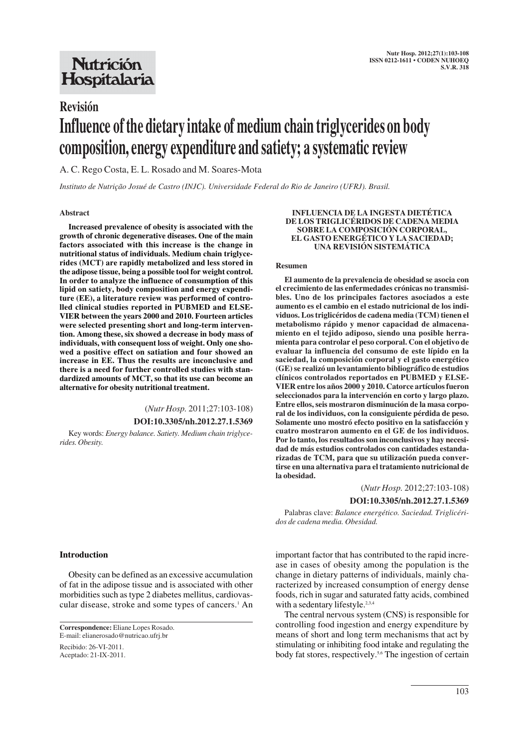## **Nutrición** Hospitalaria

# **Revisión Influence of the dietary intake of medium chain triglycerides on body composition, energy expenditure and satiety; a systematic review**

A. C. Rego Costa, E. L. Rosado and M. Soares-Mota

*Instituto de Nutrição Josué de Castro (INJC). Universidade Federal do Rio de Janeiro (UFRJ). Brasil.*

#### **Abstract**

**Increased prevalence of obesity is associated with the growth of chronic degenerative diseases. One of the main factors associated with this increase is the change in nutritional status of individuals. Medium chain triglycerides (MCT) are rapidly metabolized and less stored in the adipose tissue, being a possible tool for weight control. In order to analyze the influence of consumption of this lipid on satiety, body composition and energy expenditure (EE), a literature review was performed of controlled clinical studies reported in PUBMED and ELSE-VIER between the years 2000 and 2010. Fourteen articles were selected presenting short and long-term intervention. Among these, six showed a decrease in body mass of individuals, with consequent loss of weight. Only one showed a positive effect on satiation and four showed an increase in EE. Thus the results are inconclusive and there is a need for further controlled studies with standardized amounts of MCT, so that its use can become an alternative for obesity nutritional treatment.**

## (*Nutr Hosp.* 2011;27:103-108) **DOI:10.3305/nh.2012.27.1.5369**

Key words: *Energy balance. Satiety. Medium chain triglycerides. Obesity.*

#### **INFLUENCIA DE LA INGESTA DIETÉTICA DE LOS TRIGLICÉRIDOS DE CADENA MEDIA SOBRE LA COMPOSICIÓN CORPORAL, EL GASTO ENERGÉTICO Y LA SACIEDAD; UNA REVISIÓN SISTEMÁTICA**

#### **Resumen**

**El aumento de la prevalencia de obesidad se asocia con el crecimiento de las enfermedades crónicas no transmisibles. Uno de los principales factores asociados a este aumento es el cambio en el estado nutricional de los individuos. Los triglicéridos de cadena media (TCM) tienen el metabolismo rápido y menor capacidad de almacenamiento en el tejido adiposo, siendo una posible herramienta para controlar el peso corporal. Con el objetivo de evaluar la influencia del consumo de este lípido en la saciedad, la composición corporal y el gasto energético (GE) se realizó un levantamiento bibliográfico de estudios clínicos controlados reportados en PUBMED y ELSE-VIER entre los años 2000 y 2010. Catorce artículos fueron seleccionados para la intervención en corto y largo plazo. Entre ellos, seis mostraron disminución de la masa corporal de los individuos, con la consiguiente pérdida de peso. Solamente uno mostró efecto positivo en la satisfacción y cuatro mostraron aumento en el GE de los individuos. Por lo tanto, los resultados son inconclusivos y hay necesidad de más estudios controlados con cantidades estandarizadas de TCM, para que su utilización pueda convertirse en una alternativa para el tratamiento nutricional de la obesidad.**

(*Nutr Hosp.* 2012;27:103-108)

#### **DOI:10.3305/nh.2012.27.1.5369**

Palabras clave: *Balance energético. Saciedad. Triglicéridos de cadena media. Obesidad.*

important factor that has contributed to the rapid increase in cases of obesity among the population is the change in dietary patterns of individuals, mainly characterized by increased consumption of energy dense foods, rich in sugar and saturated fatty acids, combined with a sedentary lifestyle.<sup>2,3,4</sup>

The central nervous system (CNS) is responsible for controlling food ingestion and energy expenditure by means of short and long term mechanisms that act by stimulating or inhibiting food intake and regulating the body fat stores, respectively.5,6 The ingestion of certain

#### **Introduction**

Obesity can be defined as an excessive accumulation of fat in the adipose tissue and is associated with other morbidities such as type 2 diabetes mellitus, cardiovascular disease, stroke and some types of cancers.<sup>1</sup> An

Recibido: 26-VI-2011. Aceptado: 21-IX-2011.

**Correspondence:** Eliane Lopes Rosado. E-mail: elianerosado@nutricao.ufrj.br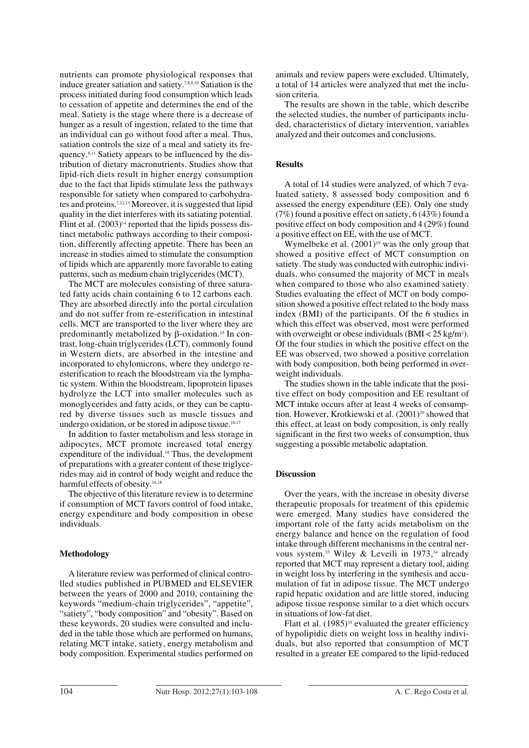nutrients can promote physiological responses that induce greater satiation and satiety.7,8,9,10 Satiation is the process initiated during food consumption which leads to cessation of appetite and determines the end of the meal. Satiety is the stage where there is a decrease of hunger as a result of ingestion, related to the time that an individual can go without food after a meal. Thus, satiation controls the size of a meal and satiety its frequency.8,11 Satiety appears to be influenced by the distribution of dietary macronutrients. Studies show that lipid-rich diets result in higher energy consumption due to the fact that lipids stimulate less the pathways responsible for satiety when compared to carbohydrates and proteins.7,12,13 Moreover, it is suggested that lipid quality in the diet interferes with its satiating potential. Flint et al.  $(2003)^{14}$  reported that the lipids possess distinct metabolic pathways according to their composition, differently affecting appetite. There has been an increase in studies aimed to stimulate the consumption of lipids which are apparently more favorable to eating patterns, such as medium chain triglycerides (MCT).

The MCT are molecules consisting of three saturated fatty acids chain containing 6 to 12 carbons each. They are absorbed directly into the portal circulation and do not suffer from re-esterification in intestinal cells. MCT are transported to the liver where they are predominantly metabolized by β-oxidation.<sup>15</sup> In contrast, long-chain triglycerides (LCT), commonly found in Western diets, are absorbed in the intestine and incorporated to chylomicrons, where they undergo reesterification to reach the bloodstream via the lymphatic system. Within the bloodstream, lipoprotein lipases hydrolyze the LCT into smaller molecules such as monoglycerides and fatty acids, or they can be captured by diverse tissues such as muscle tissues and undergo oxidation, or be stored in adipose tissue.<sup>16,17</sup>

In addition to faster metabolism and less storage in adipocytes, MCT promote increased total energy expenditure of the individual.<sup>18</sup> Thus, the development of preparations with a greater content of these triglycerides may aid in control of body weight and reduce the harmful effects of obesity.<sup>16,18</sup>

The objective of this literature review is to determine if consumption of MCT favors control of food intake, energy expenditure and body composition in obese individuals.

## **Methodology**

A literature review was performed of clinical controlled studies published in PUBMED and ELSEVIER between the years of 2000 and 2010, containing the keywords "medium-chain triglycerides", "appetite", "satiety", "body composition" and "obesity". Based on these keywords, 20 studies were consulted and included in the table those which are performed on humans, relating MCT intake, satiety, energy metabolism and body composition. Experimental studies performed on animals and review papers were excluded. Ultimately, a total of 14 articles were analyzed that met the inclusion criteria.

The results are shown in the table, which describe the selected studies, the number of participants included, characteristics of dietary intervention, variables analyzed and their outcomes and conclusions.

### **Results**

A total of 14 studies were analyzed, of which 7 evaluated satiety, 8 assessed body composition and 6 assessed the energy expenditure (EE). Only one study (7%) found a positive effect on satiety, 6 (43%) found a positive effect on body composition and 4 (29%) found a positive effect on EE, with the use of MCT.

Wymelbeke et al.  $(2001)^{19}$  was the only group that showed a positive effect of MCT consumption on satiety. The study was conducted with eutrophic individuals, who consumed the majority of MCT in meals when compared to those who also examined satiety. Studies evaluating the effect of MCT on body composition showed a positive effect related to the body mass index (BMI) of the participants. Of the 6 studies in which this effect was observed, most were performed with overweight or obese individuals  $(BMI < 25 \text{ kg/m}^2)$ . Of the four studies in which the positive effect on the EE was observed, two showed a positive correlation with body composition, both being performed in overweight individuals.

The studies shown in the table indicate that the positive effect on body composition and EE resultant of MCT intake occurs after at least 4 weeks of consumption. However, Krotkiewski et al. (2001)<sup>20</sup> showed that this effect, at least on body composition, is only really significant in the first two weeks of consumption, thus suggesting a possible metabolic adaptation.

## **Discussion**

Over the years, with the increase in obesity diverse therapeutic proposals for treatment of this epidemic were emerged. Many studies have considered the important role of the fatty acids metabolism on the energy balance and hence on the regulation of food intake through different mechanisms in the central nervous system.<sup>33</sup> Wiley & Leveili in 1973,<sup>34</sup> already reported that MCT may represent a dietary tool, aiding in weight loss by interfering in the synthesis and accumulation of fat in adipose tissue. The MCT undergo rapid hepatic oxidation and are little stored, inducing adipose tissue response similar to a diet which occurs in situations of low-fat diet.

Flatt et al.  $(1985)^{35}$  evaluated the greater efficiency of hypolipidic diets on weight loss in healthy individuals, but also reported that consumption of MCT resulted in a greater EE compared to the lipid-reduced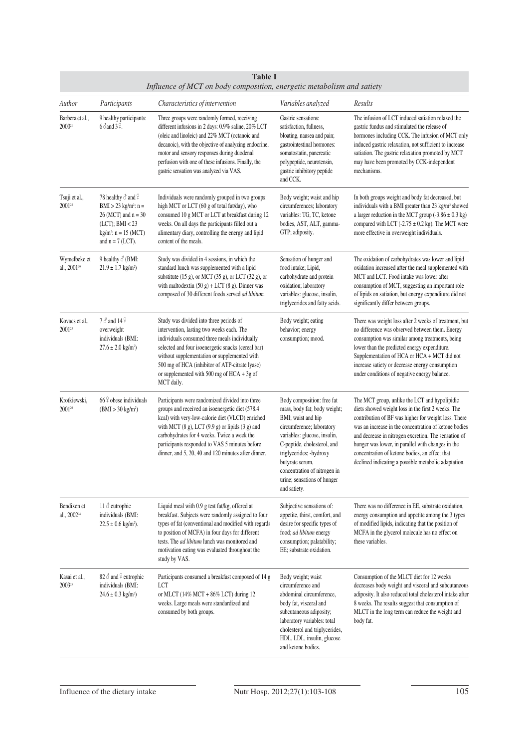| <b>Table I</b><br>Influence of MCT on body composition, energetic metabolism and satiety |                                                                                                                                                                                 |                                                                                                                                                                                                                                                                                                                                                                          |                                                                                                                                                                                                                                                                                                           |                                                                                                                                                                                                                                                                                                                                                                                                                                             |  |  |
|------------------------------------------------------------------------------------------|---------------------------------------------------------------------------------------------------------------------------------------------------------------------------------|--------------------------------------------------------------------------------------------------------------------------------------------------------------------------------------------------------------------------------------------------------------------------------------------------------------------------------------------------------------------------|-----------------------------------------------------------------------------------------------------------------------------------------------------------------------------------------------------------------------------------------------------------------------------------------------------------|---------------------------------------------------------------------------------------------------------------------------------------------------------------------------------------------------------------------------------------------------------------------------------------------------------------------------------------------------------------------------------------------------------------------------------------------|--|--|
| Author                                                                                   | Participants                                                                                                                                                                    | Characteristics of intervention                                                                                                                                                                                                                                                                                                                                          | Variables analyzed                                                                                                                                                                                                                                                                                        | Results                                                                                                                                                                                                                                                                                                                                                                                                                                     |  |  |
| Barbera et al.,<br>200021                                                                | 9 healthy participants:<br>$6 \delta$ and $3 \Omega$ .                                                                                                                          | Three groups were randomly formed, receiving<br>different infusions in 2 days: 0.9% saline, 20% LCT<br>(oleic and linoleic) and 22% MCT (octanoic and<br>decanoic), with the objective of analyzing endocrine,<br>motor and sensory responses during duodenal<br>perfusion with one of these infusions. Finally, the<br>gastric sensation was analyzed via VAS.          | Gastric sensations:<br>satisfaction, fullness,<br>bloating, nausea and pain;<br>gastrointestinal hormones:<br>somatostatin, pancreatic<br>polypeptide, neurotensin,<br>gastric inhibitory peptide<br>and CCK.                                                                                             | The infusion of LCT induced satiation relaxed the<br>gastric fundus and stimulated the release of<br>hormones including CCK. The infusion of MCT only<br>induced gastric relaxation, not sufficient to increase<br>satiation. The gastric relaxation promoted by MCT<br>may have been promoted by CCK-independent<br>mechanisms.                                                                                                            |  |  |
| Tsuji et al.,<br>2001 <sup>22</sup>                                                      | 78 healthy $\delta$ and $\frac{1}{2}$<br>$BMI > 23$ kg/m <sup>2</sup> : n =<br>$26 (MCT)$ and $n = 30$<br>$(LCT)$ ; BMI < 23<br>$kg/m^2$ : $n = 15$ (MCT)<br>and $n = 7$ (LCT). | Individuals were randomly grouped in two groups:<br>high MCT or LCT (60 g of total fat/day), who<br>consumed 10 g MCT or LCT at breakfast during 12<br>weeks. On all days the participants filled out a<br>alimentary diary, controlling the energy and lipid<br>content of the meals.                                                                                   | Body weight; waist and hip<br>circumferences; laboratory<br>variables: TG, TC, ketone<br>bodies, AST, ALT, gamma-<br>GTP; adiposity.                                                                                                                                                                      | In both groups weight and body fat decreased, but<br>individuals with a BMI greater than 23 kg/m <sup>2</sup> showed<br>a larger reduction in the MCT group $(-3.86 \pm 0.3 \text{ kg})$<br>compared with LCT $(-2.75 \pm 0.2 \text{ kg})$ . The MCT were<br>more effective in overweight individuals.                                                                                                                                      |  |  |
| Wymelbeke et<br>al., 2001 <sup>19</sup>                                                  | 9 healthy $\delta$ (BMI:<br>$21.9 \pm 1.7$ kg/m <sup>2</sup> )                                                                                                                  | Study was divided in 4 sessions, in which the<br>standard lunch was supplemented with a lipid<br>substitute $(15 \text{ g})$ , or MCT $(35 \text{ g})$ , or LCT $(32 \text{ g})$ , or<br>with maltodextin $(50 g) + LCT (8 g)$ . Dinner was<br>composed of 30 different foods served ad libitum.                                                                         | Sensation of hunger and<br>food intake; Lipid,<br>carbohydrate and protein<br>oxidation; laboratory<br>variables: glucose, insulin,<br>triglycerides and fatty acids.                                                                                                                                     | The oxidation of carbohydrates was lower and lipid<br>oxidation increased after the meal supplemented with<br>MCT and LCT. Food intake was lower after<br>consumption of MCT, suggesting an important role<br>of lipids on satiation, but energy expenditure did not<br>significantly differ between groups.                                                                                                                                |  |  |
| Kovacs et al.,<br>$2001^{23}$                                                            | 7 ♂ and 14 º<br>overweight<br>individuals (BMI:<br>$27.6 \pm 2.0$ kg/m <sup>2</sup> )                                                                                           | Study was divided into three periods of<br>intervention, lasting two weeks each. The<br>individuals consumed three meals individually<br>selected and four isoenergetic snacks (cereal bar)<br>without supplementation or supplemented with<br>500 mg of HCA (inhibitor of ATP-citrate lyase)<br>or supplemented with 500 mg of HCA + 3g of<br>MCT daily.                | Body weight; eating<br>behavior; energy<br>consumption; mood.                                                                                                                                                                                                                                             | There was weight loss after 2 weeks of treatment, but<br>no difference was observed between them. Energy<br>consumption was similar among treatments, being<br>lower than the predicted energy expenditure.<br>Supplementation of HCA or HCA + MCT did not<br>increase satiety or decrease energy consumption<br>under conditions of negative energy balance.                                                                               |  |  |
| Krotkiewski,<br>200120                                                                   | $66\frac{^}{1}$ obese individuals<br>$(BMI > 30 \text{ kg/m}^2)$                                                                                                                | Participants were randomized divided into three<br>groups and received an isoenergetic diet (578.4<br>kcal) with very-low-calorie diet (VLCD) enriched<br>with MCT $(8 g)$ , LCT $(9.9 g)$ or lipids $(3 g)$ and<br>carbohydrates for 4 weeks. Twice a week the<br>participants responded to VAS 5 minutes before<br>dinner, and 5, 20, 40 and 120 minutes after dinner. | Body composition: free fat<br>mass, body fat; body weight;<br>BMI; waist and hip<br>circumference; laboratory<br>variables: glucose, insulin,<br>C-peptide, cholesterol, and<br>triglycerides; -hydroxy<br>butyrate serum,<br>concentration of nitrogen in<br>urine; sensations of hunger<br>and satiety. | The MCT group, unlike the LCT and hypolipidic<br>diets showed weight loss in the first 2 weeks. The<br>contribution of BF was higher for weight loss. There<br>was an increase in the concentration of ketone bodies<br>and decrease in nitrogen excretion. The sensation of<br>hunger was lower, in parallel with changes in the<br>concentration of ketone bodies, an effect that<br>declined indicating a possible metabolic adaptation. |  |  |
| Bendixen et<br>al., 2002 <sup>24</sup>                                                   | 11 ∂ eutrophic<br>individuals (BMI:<br>$22.5 \pm 0.6$ kg/m <sup>2</sup> ).                                                                                                      | Liquid meal with 0.9 g test fat/kg, offered at<br>breakfast. Subjects were randomly assigned to four<br>types of fat (conventional and modified with regards<br>to position of MCFA) in four days for different<br>tests. The <i>ad libitum</i> lunch was monitored and<br>motivation eating was evaluated throughout the<br>study by VAS.                               | Subjective sensations of:<br>appetite, thirst, comfort, and<br>desire for specific types of<br>food; ad libitum energy<br>consumption; palatability;<br>EE: substrate oxidation.                                                                                                                          | There was no difference in EE, substrate oxidation,<br>energy consumption and appetite among the 3 types<br>of modified lipids, indicating that the position of<br>MCFA in the glycerol molecule has no effect on<br>these variables.                                                                                                                                                                                                       |  |  |
| Kasai et al.,<br>2003 <sup>25</sup>                                                      | 82 $\delta$ and $\frac{1}{2}$ eutrophic<br>individuals (BMI:<br>$24.6 \pm 0.3$ kg/m <sup>2</sup> )                                                                              | Participants consumed a breakfast composed of 14 g<br>LCT<br>or MLCT (14% MCT + 86% LCT) during 12<br>weeks. Large meals were standardized and<br>consumed by both groups.                                                                                                                                                                                               | Body weight; waist<br>circumference and<br>abdominal circumference,<br>body fat, visceral and<br>subcutaneous adiposity;<br>laboratory variables: total<br>cholesterol and triglycerides,<br>HDL, LDL, insulin, glucose<br>and ketone bodies.                                                             | Consumption of the MLCT diet for 12 weeks<br>decreases body weight and visceral and subcutaneous<br>adiposity. It also reduced total cholesterol intake after<br>8 weeks. The results suggest that consumption of<br>MLCT in the long term can reduce the weight and<br>body fat.                                                                                                                                                           |  |  |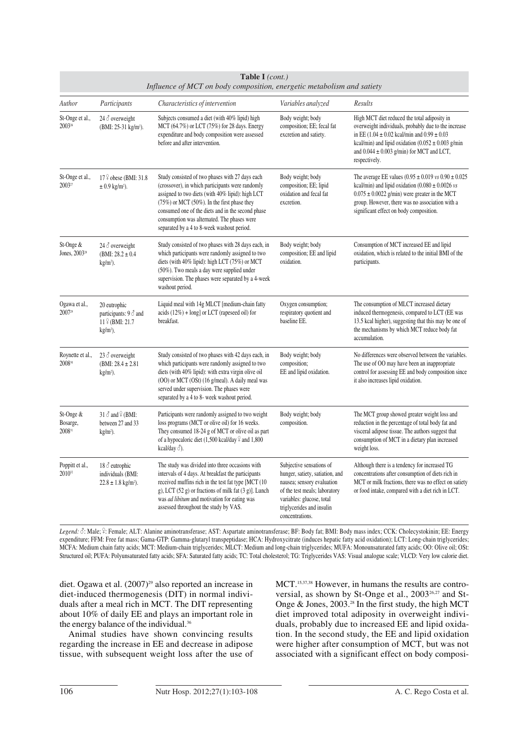| Table I (cont.)<br>Influence of MCT on body composition, energetic metabolism and satiety |                                                                                          |                                                                                                                                                                                                                                                                                                                                                               |                                                                                                                                                                                                         |                                                                                                                                                                                                                                                                                                          |  |  |
|-------------------------------------------------------------------------------------------|------------------------------------------------------------------------------------------|---------------------------------------------------------------------------------------------------------------------------------------------------------------------------------------------------------------------------------------------------------------------------------------------------------------------------------------------------------------|---------------------------------------------------------------------------------------------------------------------------------------------------------------------------------------------------------|----------------------------------------------------------------------------------------------------------------------------------------------------------------------------------------------------------------------------------------------------------------------------------------------------------|--|--|
| Author                                                                                    | Participants                                                                             | Characteristics of intervention                                                                                                                                                                                                                                                                                                                               | Variables analyzed                                                                                                                                                                                      | Results                                                                                                                                                                                                                                                                                                  |  |  |
| St-Onge et al.,<br>2003 <sup>26</sup>                                                     | 24 $\delta$ overweight<br>(BMI: 25-31 kg/m <sup>2</sup> ).                               | Subjects consumed a diet (with 40% lipid) high<br>MCT (64.7%) or LCT (75%) for 28 days. Energy<br>expenditure and body composition were assessed<br>before and after intervention.                                                                                                                                                                            | Body weight; body<br>composition; EE; fecal fat<br>excretion and satiety.                                                                                                                               | High MCT diet reduced the total adiposity in<br>overweight individuals, probably due to the increase<br>in EE $(1.04 \pm 0.02 \text{ kcal/min}$ and $0.99 \pm 0.03$<br>kcal/min) and lipid oxidation $(0.052 \pm 0.003 \text{ g/min})$<br>and $0.044 \pm 0.003$ g/min) for MCT and LCT,<br>respectively. |  |  |
| St-Onge et al.,<br>2003 <sup>27</sup>                                                     | 17 <sup>2</sup> obese (BMI: 31.8)<br>$\pm$ 0.9 kg/m <sup>2</sup> ).                      | Study consisted of two phases with 27 days each<br>(crossover), in which participants were randomly<br>assigned to two diets (with 40% lipid): high LCT<br>$(75%)$ or MCT $(50%)$ . In the first phase they<br>consumed one of the diets and in the second phase<br>consumption was alternated. The phases were<br>separated by a 4 to 8-week washout period. | Body weight; body<br>composition; EE; lipid<br>oxidation and fecal fat<br>excretion.                                                                                                                    | The average EE values $(0.95 \pm 0.019 \text{ vs } 0.90 \pm 0.025$<br>kcal/min) and lipid oxidation $(0.080 \pm 0.0026 \text{ vs }$<br>$0.075 \pm 0.0022$ g/min) were greater in the MCT<br>group. However, there was no association with a<br>significant effect on body composition.                   |  |  |
| St-Onge &<br>Jones, 2003 <sup>28</sup>                                                    | 24 $\delta$ overweight<br>(BMI: $28.2 \pm 0.4$ )<br>$kg/m2$ ).                           | Study consisted of two phases with 28 days each, in<br>which participants were randomly assigned to two<br>diets (with 40% lipid): high LCT (75%) or MCT<br>(50%). Two meals a day were supplied under<br>supervision. The phases were separated by a 4-week<br>washout period.                                                                               | Body weight; body<br>composition; EE and lipid<br>oxidation.                                                                                                                                            | Consumption of MCT increased EE and lipid<br>oxidation, which is related to the initial BMI of the<br>participants.                                                                                                                                                                                      |  |  |
| Ogawa et al.,<br>2007 <sup>29</sup>                                                       | 20 eutrophic<br>participants: $9 \delta$ and<br>$11\frac{°}{}$ (BMI: 21.7)<br>$kg/m2$ ). | Liquid meal with 14g MLCT [medium-chain fatty<br>acids $(12\%)$ + long] or LCT (rapeseed oil) for<br>breakfast.                                                                                                                                                                                                                                               | Oxygen consumption;<br>respiratory quotient and<br>baseline EE.                                                                                                                                         | The consumption of MLCT increased dietary<br>induced thermogenesis, compared to LCT (EE was<br>13.5 kcal higher), suggesting that this may be one of<br>the mechanisms by which MCT reduce body fat<br>accumulation.                                                                                     |  |  |
| Roynette et al.,<br>200830                                                                | 23 $\delta$ overweight<br>(BMI: $28.4 \pm 2.81$ )<br>$kg/m2$ ).                          | Study consisted of two phases with 42 days each, in<br>which participants were randomly assigned to two<br>diets (with 40% lipid): with extra virgin olive oil<br>(OO) or MCT (OSt) (16 g/meal). A daily meal was<br>served under supervision. The phases were<br>separated by a 4 to 8- week washout period.                                                 | Body weight; body<br>composition;<br>EE and lipid oxidation.                                                                                                                                            | No differences were observed between the variables.<br>The use of OO may have been an inappropriate<br>control for assessing EE and body composition since<br>it also increases lipid oxidation.                                                                                                         |  |  |
| St-Onge &<br>Bosarge,<br>200831                                                           | $31 \delta$ and $\frac{6}{7}$ (BMI:<br>between 27 and 33<br>$kg/m2$ ).                   | Participants were randomly assigned to two weight<br>loss programs (MCT or olive oil) for 16 weeks.<br>They consumed 18-24 g of MCT or olive oil as part<br>of a hypocaloric diet (1,500 kcal/day $\frac{1}{7}$ and 1,800<br>kcal/day $\delta$ ).                                                                                                             | Body weight; body<br>composition.                                                                                                                                                                       | The MCT group showed greater weight loss and<br>reduction in the percentage of total body fat and<br>visceral adipose tissue. The authors suggest that<br>consumption of MCT in a dietary plan increased<br>weight loss.                                                                                 |  |  |
| Poppitt et al.,<br>$2010^{32}$                                                            | $18 \delta$ eutrophic<br>individuals (BMI:<br>$22.8 \pm 1.8$ kg/m <sup>2</sup> ).        | The study was divided into three occasions with<br>intervals of 4 days. At breakfast the participants<br>received muffins rich in the test fat type [MCT (10)<br>g), LCT $(52 g)$ or fractions of milk fat $(3 g)$ ]. Lunch<br>was <i>ad libitum</i> and motivation for eating was<br>assessed throughout the study by VAS.                                   | Subjective sensations of<br>hunger, satiety, satiation, and<br>nausea; sensory evaluation<br>of the test meals; laboratory<br>variables: glucose, total<br>triglycerides and insulin<br>concentrations. | Although there is a tendency for increased TG<br>concentrations after consumption of diets rich in<br>MCT or milk fractions, there was no effect on satiety<br>or food intake, compared with a diet rich in LCT.                                                                                         |  |  |

Legend:  $\delta$ : Male; <sup>9</sup>: Female; ALT: Alanine aminotransferase; AST: Aspartate aminotransferase; BF: Body fat; BMI: Body mass index; CCK: Cholecystokinin; EE: Energy expenditure; FFM: Free fat mass; Gama-GTP: Gamma-glutaryl transpeptidase; HCA: Hydroxycitrate (induces hepatic fatty acid oxidation); LCT: Long-chain triglycerides; MCFA: Medium chain fatty acids; MCT: Medium-chain triglycerides; MLCT: Medium and long-chain triglycerides; MUFA: Monounsaturated fatty acids; OO: Olive oil; OSt: Structured oil; PUFA: Polyunsaturated fatty acids; SFA: Saturated fatty acids; TC: Total cholesterol; TG: Triglycerides VAS: Visual analogue scale; VLCD: Very low calorie diet.

diet. Ogawa et al. (2007)<sup>29</sup> also reported an increase in diet-induced thermogenesis (DIT) in normal individuals after a meal rich in MCT. The DIT representing about 10% of daily EE and plays an important role in the energy balance of the individual.<sup>36</sup>

Animal studies have shown convincing results regarding the increase in EE and decrease in adipose tissue, with subsequent weight loss after the use of MCT.15,37,38 However, in humans the results are controversial, as shown by St-Onge et al., 2003<sup>26,27</sup> and St-Onge & Jones, 2003.28 In the first study, the high MCT diet improved total adiposity in overweight individuals, probably due to increased EE and lipid oxidation. In the second study, the EE and lipid oxidation were higher after consumption of MCT, but was not associated with a significant effect on body composi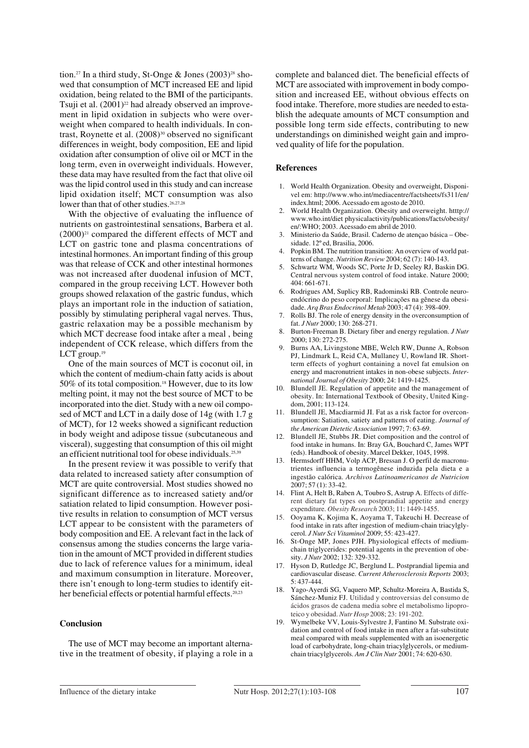tion.<sup>27</sup> In a third study, St-Onge & Jones  $(2003)^{28}$  showed that consumption of MCT increased EE and lipid oxidation, being related to the BMI of the participants. Tsuji et al.  $(2001)^{22}$  had already observed an improvement in lipid oxidation in subjects who were overweight when compared to health individuals. In contrast, Roynette et al.  $(2008)^{30}$  observed no significant differences in weight, body composition, EE and lipid oxidation after consumption of olive oil or MCT in the long term, even in overweight individuals. However, these data may have resulted from the fact that olive oil was the lipid control used in this study and can increase lipid oxidation itself; MCT consumption was also lower than that of other studies.<sup>26,27,28</sup>

With the objective of evaluating the influence of nutrients on gastrointestinal sensations, Barbera et al.  $(2000)^{21}$  compared the different effects of MCT and LCT on gastric tone and plasma concentrations of intestinal hormones. An important finding of this group was that release of CCK and other intestinal hormones was not increased after duodenal infusion of MCT, compared in the group receiving LCT. However both groups showed relaxation of the gastric fundus, which plays an important role in the induction of satiation, possibly by stimulating peripheral vagal nerves. Thus, gastric relaxation may be a possible mechanism by which MCT decrease food intake after a meal , being independent of CCK release, which differs from the LCT group.<sup>19</sup>

One of the main sources of MCT is coconut oil, in which the content of medium-chain fatty acids is about 50% of its total composition.18 However, due to its low melting point, it may not the best source of MCT to be incorporated into the diet. Study with a new oil composed of MCT and LCT in a daily dose of 14g (with 1.7 g of MCT), for 12 weeks showed a significant reduction in body weight and adipose tissue (subcutaneous and visceral), suggesting that consumption of this oil might an efficient nutritional tool for obese individuals.<sup>25,39</sup>

In the present review it was possible to verify that data related to increased satiety after consumption of MCT are quite controversial. Most studies showed no significant difference as to increased satiety and/or satiation related to lipid consumption. However positive results in relation to consumption of MCT versus LCT appear to be consistent with the parameters of body composition and EE. A relevant fact in the lack of consensus among the studies concerns the large variation in the amount of MCT provided in different studies due to lack of reference values for a minimum, ideal and maximum consumption in literature. Moreover, there isn't enough to long-term studies to identify either beneficial effects or potential harmful effects.<sup>20,23</sup>

#### **Conclusion**

The use of MCT may become an important alternative in the treatment of obesity, if playing a role in a complete and balanced diet. The beneficial effects of MCT are associated with improvement in body composition and increased EE, without obvious effects on food intake. Therefore, more studies are needed to establish the adequate amounts of MCT consumption and possible long term side effects, contributing to new understandings on diminished weight gain and improved quality of life for the population.

#### **References**

- 1. World Health Organization. Obesity and overweight, Disponivel em: http://www.who.int/mediacentre/factsheets/fs311/en/ index.html; 2006. Acessado em agosto de 2010.
- 2. World Health Organization. Obesity and overweight. htttp:// www.who.int/diet physicalactivity/publications/facts/obesity/ en/:WHO; 2003. Acessado em abril de 2010.
- 3. Ministerio da Saúde, Brasil. Caderno de atençao básica Obesidade. 12º ed, Brasilia, 2006.
- 4. Popkin BM. The nutrition transition: An overview of world patterns of change. *Nutrition Review* 2004; 62 (7): 140-143.
- 5. Schwartz WM, Woods SC, Porte Jr D, Seeley RJ, Baskin DG. Central nervous system control of food intake. Nature 2000; 404: 661-671.
- 6. Rodrigues AM, Suplicy RB, Radominski RB. Controle neuroendócrino do peso corporal: Implicações na gênese da obesidade. *Arq Bras Endocrinol Metab* 2003; 47 (4): 398-409.
- 7. Rolls BJ. The role of energy density in the overconsumption of fat. *J Nutr* 2000; 130: 268-271.
- 8. Burton-Freeman B. Dietary fiber and energy regulation. *J Nutr* 2000; 130: 272-275.
- 9. Burns AA, Livingstone MBE, Welch RW, Dunne A, Robson PJ, Lindmark L, Reid CA, Mullaney U, Rowland IR. Shortterm effects of yoghurt containing a novel fat emulsion on energy and macronutrient intakes in non-obese subjects. *International Journal of Obesity* 2000; 24: 1419-1425.
- 10. Blundell JE. Regulation of appetite and the management of obesity. In: International Textbook of Obesity, United Kingdom, 2001; 113-124.
- 11. Blundell JE, Macdiarmid JI. Fat as a risk factor for overconsumption: Satiation, satiety and patterns of eating. *Journal of the American Dietetic Association* 1997; 7: 63-69.
- 12. Blundell JE, Stubbs JR. Diet composition and the control of food intake in humans. In: Bray GA, Bouchard C, James WPT (eds). Handbook of obesity. Marcel Dekker, 1045, 1998.
- 13. Hermsdorff HHM, Volp ACP, Bressan J. O perfil de macronutrientes influencia a termogênese induzida pela dieta e a ingestão calórica. *Archivos Latinoamericanos de Nutricion* 2007; 57 (1): 33-42.
- 14. Flint A, Helt B, Raben A, Toubro S, Astrup A. Effects of different dietary fat types on postprandial appetite and energy expenditure. *Obesity Research* 2003; 11: 1449-1455.
- 15. Ooyama K, Kojima K, Aoyama T, Takeuchi H. Decrease of food intake in rats after ingestion of medium-chain triacylglycerol. *J Nutr Sci Vitaminol* 2009; 55: 423-427.
- 16. St-Onge MP, Jones PJH. Physiological effects of mediumchain triglycerides: potential agents in the prevention of obesity. *J Nutr* 2002; 132: 329-332.
- 17. Hyson D, Rutledge JC, Berglund L. Postprandial lipemia and cardiovascular disease. *Current Atherosclerosis Reports* 2003; 5: 437-444.
- 18. Yago-Ayerdi SG, Vaquero MP, Schultz-Moreira A, Bastida S, Sánchez-Muniz FJ. Utilidad y controversias del consumo de ácidos grasos de cadena media sobre el metabolismo lipoproteico y obesidad. *Nutr Hosp* 2008; 23: 191-202.
- 19. Wymelbeke VV, Louis-Sylvestre J, Fantino M. Substrate oxidation and control of food intake in men after a fat-substitute meal compared with meals supplemented with an isoenergetic load of carbohydrate, long-chain triacylglycerols, or mediumchain triacylglycerols. *Am J Clin Nutr* 2001; 74: 620-630.